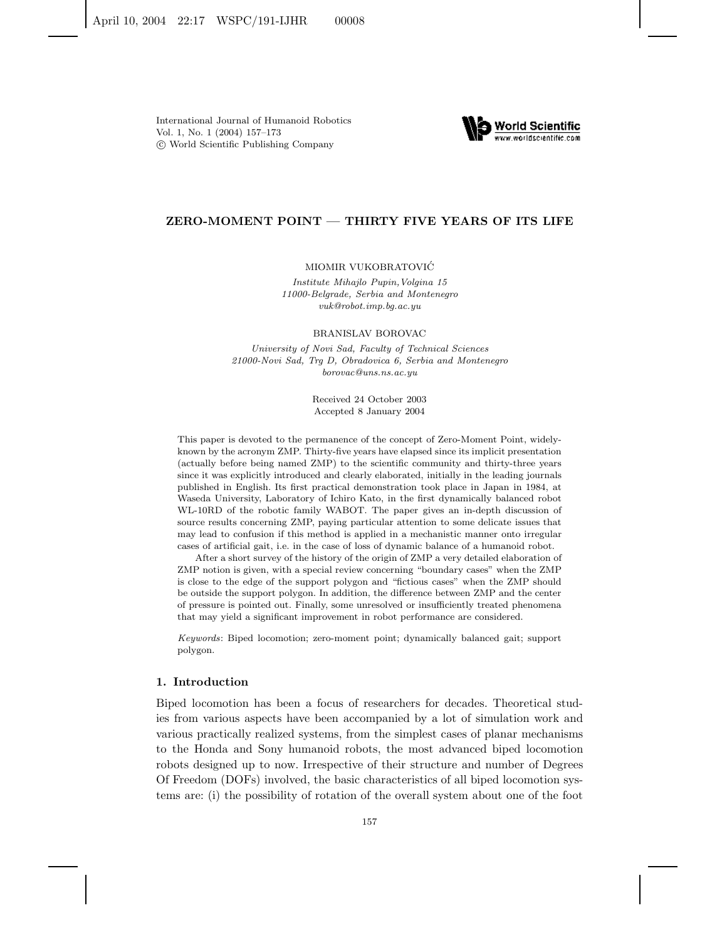

# **ZERO-MOMENT POINT — THIRTY FIVE YEARS OF ITS LIFE**

#### MIOMIR VUKOBRATOVIC´

*Institute Mihajlo Pupin,Volgina 15 11000-Belgrade, Serbia and Montenegro vuk@robot.imp.bg.ac.yu*

#### BRANISLAV BOROVAC

*University of Novi Sad, Faculty of Technical Sciences 21000-Novi Sad, Trg D, Obradovica 6, Serbia and Montenegro borovac@uns.ns.ac.yu*

> Received 24 October 2003 Accepted 8 January 2004

This paper is devoted to the permanence of the concept of Zero-Moment Point, widelyknown by the acronym ZMP. Thirty-five years have elapsed since its implicit presentation (actually before being named ZMP) to the scientific community and thirty-three years since it was explicitly introduced and clearly elaborated, initially in the leading journals published in English. Its first practical demonstration took place in Japan in 1984, at Waseda University, Laboratory of Ichiro Kato, in the first dynamically balanced robot WL-10RD of the robotic family WABOT. The paper gives an in-depth discussion of source results concerning ZMP, paying particular attention to some delicate issues that may lead to confusion if this method is applied in a mechanistic manner onto irregular cases of artificial gait, i.e. in the case of loss of dynamic balance of a humanoid robot.

After a short survey of the history of the origin of ZMP a very detailed elaboration of ZMP notion is given, with a special review concerning "boundary cases" when the ZMP is close to the edge of the support polygon and "fictious cases" when the ZMP should be outside the support polygon. In addition, the difference between ZMP and the center of pressure is pointed out. Finally, some unresolved or insufficiently treated phenomena that may yield a significant improvement in robot performance are considered.

*Keywords*: Biped locomotion; zero-moment point; dynamically balanced gait; support polygon.

### **1. Introduction**

Biped locomotion has been a focus of researchers for decades. Theoretical studies from various aspects have been accompanied by a lot of simulation work and various practically realized systems, from the simplest cases of planar mechanisms to the Honda and Sony humanoid robots, the most advanced biped locomotion robots designed up to now. Irrespective of their structure and number of Degrees Of Freedom (DOFs) involved, the basic characteristics of all biped locomotion systems are: (i) the possibility of rotation of the overall system about one of the foot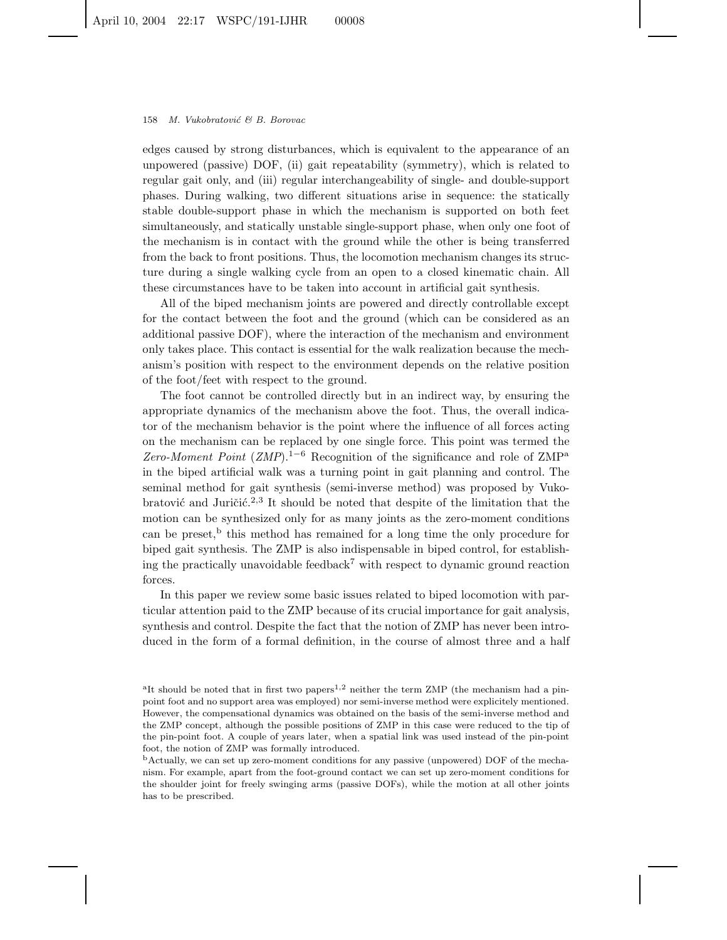edges caused by strong disturbances, which is equivalent to the appearance of an unpowered (passive) DOF, (ii) gait repeatability (symmetry), which is related to regular gait only, and (iii) regular interchangeability of single- and double-support phases. During walking, two different situations arise in sequence: the statically stable double-support phase in which the mechanism is supported on both feet simultaneously, and statically unstable single-support phase, when only one foot of the mechanism is in contact with the ground while the other is being transferred from the back to front positions. Thus, the locomotion mechanism changes its structure during a single walking cycle from an open to a closed kinematic chain. All these circumstances have to be taken into account in artificial gait synthesis.

All of the biped mechanism joints are powered and directly controllable except for the contact between the foot and the ground (which can be considered as an additional passive DOF), where the interaction of the mechanism and environment only takes place. This contact is essential for the walk realization because the mechanism's position with respect to the environment depends on the relative position of the foot/feet with respect to the ground.

The foot cannot be controlled directly but in an indirect way, by ensuring the appropriate dynamics of the mechanism above the foot. Thus, the overall indicator of the mechanism behavior is the point where the influence of all forces acting on the mechanism can be replaced by one single force. This point was termed the *Zero-Moment Point* (*ZMP*).<sup>1−6</sup> Recognition of the significance and role of ZMP<sup>a</sup> in the biped artificial walk was a turning point in gait planning and control. The seminal method for gait synthesis (semi-inverse method) was proposed by Vukobratović and Juričić.<sup>2,3</sup> It should be noted that despite of the limitation that the motion can be synthesized only for as many joints as the zero-moment conditions can be preset,<sup>b</sup> this method has remained for a long time the only procedure for biped gait synthesis. The ZMP is also indispensable in biped control, for establishing the practically unavoidable feedback<sup>7</sup> with respect to dynamic ground reaction forces.

In this paper we review some basic issues related to biped locomotion with particular attention paid to the ZMP because of its crucial importance for gait analysis, synthesis and control. Despite the fact that the notion of ZMP has never been introduced in the form of a formal definition, in the course of almost three and a half

<sup>&</sup>lt;sup>a</sup>It should be noted that in first two papers<sup>1,2</sup> neither the term ZMP (the mechanism had a pinpoint foot and no support area was employed) nor semi-inverse method were explicitely mentioned. However, the compensational dynamics was obtained on the basis of the semi-inverse method and the ZMP concept, although the possible positions of ZMP in this case were reduced to the tip of the pin-point foot. A couple of years later, when a spatial link was used instead of the pin-point foot, the notion of ZMP was formally introduced.

<sup>b</sup>Actually, we can set up zero-moment conditions for any passive (unpowered) DOF of the mechanism. For example, apart from the foot-ground contact we can set up zero-moment conditions for the shoulder joint for freely swinging arms (passive DOFs), while the motion at all other joints has to be prescribed.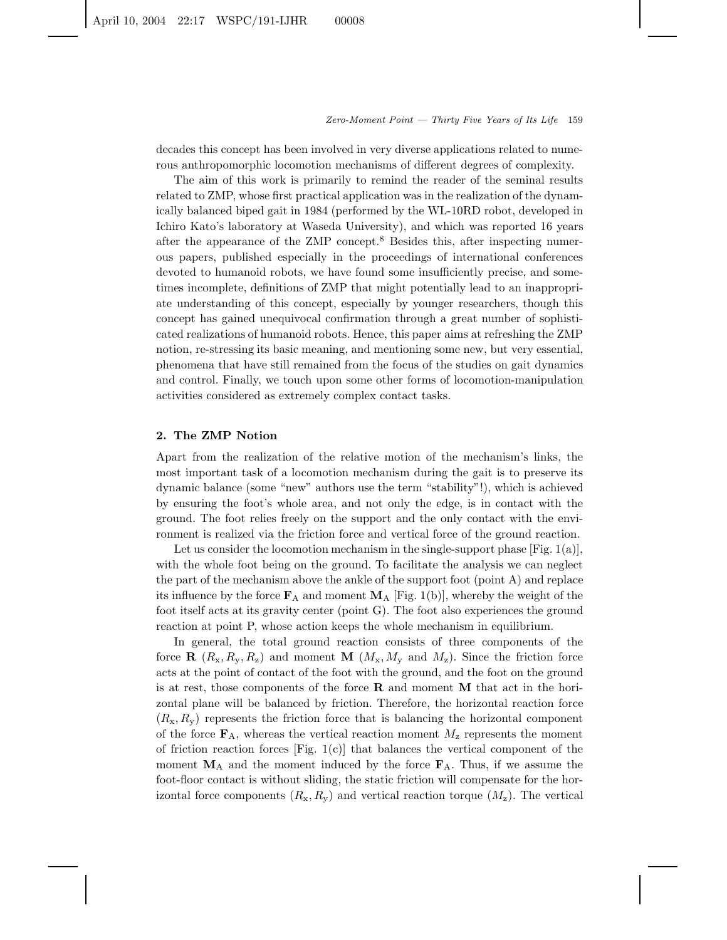decades this concept has been involved in very diverse applications related to numerous anthropomorphic locomotion mechanisms of different degrees of complexity.

The aim of this work is primarily to remind the reader of the seminal results related to ZMP, whose first practical application was in the realization of the dynamically balanced biped gait in 1984 (performed by the WL-10RD robot, developed in Ichiro Kato's laboratory at Waseda University), and which was reported 16 years after the appearance of the ZMP concept.<sup>8</sup> Besides this, after inspecting numerous papers, published especially in the proceedings of international conferences devoted to humanoid robots, we have found some insufficiently precise, and sometimes incomplete, definitions of ZMP that might potentially lead to an inappropriate understanding of this concept, especially by younger researchers, though this concept has gained unequivocal confirmation through a great number of sophisticated realizations of humanoid robots. Hence, this paper aims at refreshing the ZMP notion, re-stressing its basic meaning, and mentioning some new, but very essential, phenomena that have still remained from the focus of the studies on gait dynamics and control. Finally, we touch upon some other forms of locomotion-manipulation activities considered as extremely complex contact tasks.

# **2. The ZMP Notion**

Apart from the realization of the relative motion of the mechanism's links, the most important task of a locomotion mechanism during the gait is to preserve its dynamic balance (some "new" authors use the term "stability"!), which is achieved by ensuring the foot's whole area, and not only the edge, is in contact with the ground. The foot relies freely on the support and the only contact with the environment is realized via the friction force and vertical force of the ground reaction.

Let us consider the locomotion mechanism in the single-support phase  $[Fig. 1(a)],$ with the whole foot being on the ground. To facilitate the analysis we can neglect the part of the mechanism above the ankle of the support foot (point A) and replace its influence by the force  $\mathbf{F}_A$  and moment  $\mathbf{M}_A$  [Fig. 1(b)], whereby the weight of the foot itself acts at its gravity center (point G). The foot also experiences the ground reaction at point P, whose action keeps the whole mechanism in equilibrium.

In general, the total ground reaction consists of three components of the force **R**  $(R_x, R_y, R_z)$  and moment **M**  $(M_x, M_y$  and  $M_z)$ . Since the friction force acts at the point of contact of the foot with the ground, and the foot on the ground is at rest, those components of the force **R** and moment **M** that act in the horizontal plane will be balanced by friction. Therefore, the horizontal reaction force  $(R_x, R_y)$  represents the friction force that is balancing the horizontal component of the force  $\mathbf{F}_{A}$ , whereas the vertical reaction moment  $M_{z}$  represents the moment of friction reaction forces  $[Fig. 1(c)]$  that balances the vertical component of the moment  $M_A$  and the moment induced by the force  $F_A$ . Thus, if we assume the foot-floor contact is without sliding, the static friction will compensate for the horizontal force components  $(R_x, R_y)$  and vertical reaction torque  $(M_z)$ . The vertical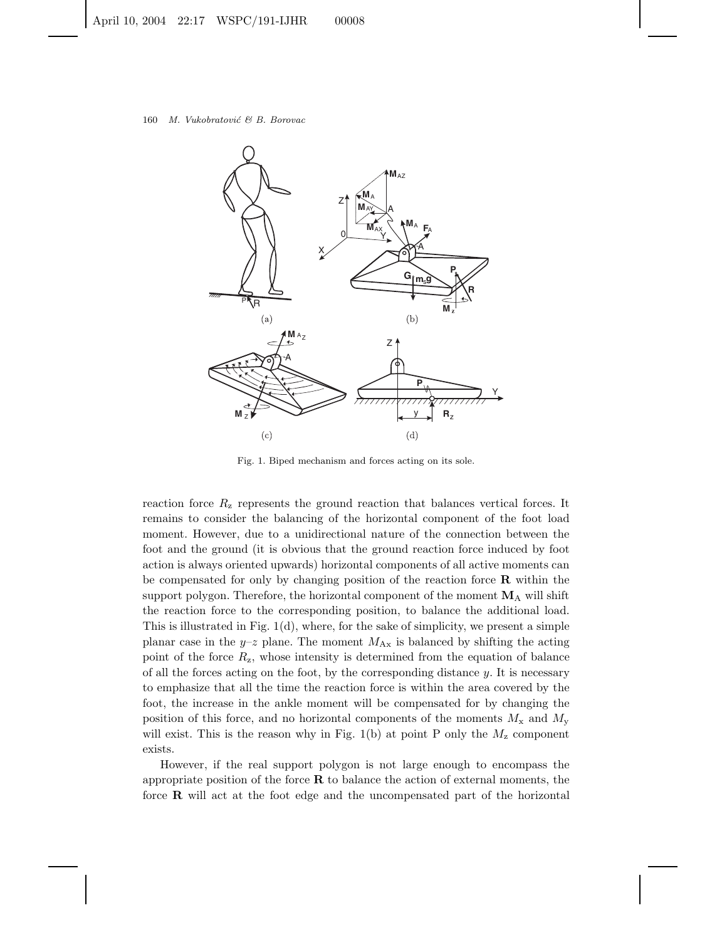

Fig. 1. Biped mechanism and forces acting on its sole.

reaction force  $R<sub>z</sub>$  represents the ground reaction that balances vertical forces. It remains to consider the balancing of the horizontal component of the foot load moment. However, due to a unidirectional nature of the connection between the foot and the ground (it is obvious that the ground reaction force induced by foot action is always oriented upwards) horizontal components of all active moments can be compensated for only by changing position of the reaction force **R** within the support polygon. Therefore, the horizontal component of the moment **M**<sup>A</sup> will shift the reaction force to the corresponding position, to balance the additional load. This is illustrated in Fig.  $1(d)$ , where, for the sake of simplicity, we present a simple planar case in the y–z plane. The moment  $M_{Ax}$  is balanced by shifting the acting point of the force  $R_{z}$ , whose intensity is determined from the equation of balance of all the forces acting on the foot, by the corresponding distance  $y$ . It is necessary to emphasize that all the time the reaction force is within the area covered by the foot, the increase in the ankle moment will be compensated for by changing the position of this force, and no horizontal components of the moments  $M_x$  and  $M_y$ will exist. This is the reason why in Fig. 1(b) at point P only the  $M_z$  component exists.

However, if the real support polygon is not large enough to encompass the appropriate position of the force **R** to balance the action of external moments, the force **R** will act at the foot edge and the uncompensated part of the horizontal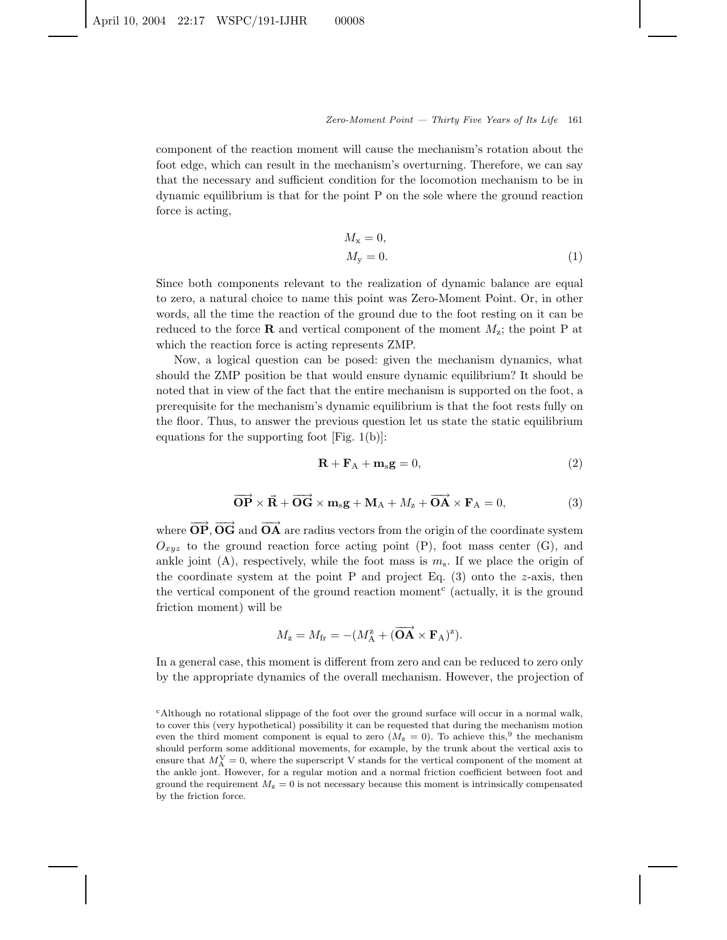component of the reaction moment will cause the mechanism's rotation about the foot edge, which can result in the mechanism's overturning. Therefore, we can say that the necessary and sufficient condition for the locomotion mechanism to be in dynamic equilibrium is that for the point P on the sole where the ground reaction force is acting,

$$
M_{x} = 0,
$$
  
\n
$$
M_{y} = 0.
$$
\n(1)

Since both components relevant to the realization of dynamic balance are equal to zero, a natural choice to name this point was Zero-Moment Point. Or, in other words, all the time the reaction of the ground due to the foot resting on it can be reduced to the force **R** and vertical component of the moment  $M_z$ ; the point P at which the reaction force is acting represents ZMP.

Now, a logical question can be posed: given the mechanism dynamics, what should the ZMP position be that would ensure dynamic equilibrium? It should be noted that in view of the fact that the entire mechanism is supported on the foot, a prerequisite for the mechanism's dynamic equilibrium is that the foot rests fully on the floor. Thus, to answer the previous question let us state the static equilibrium equations for the supporting foot  $[Fig. 1(b)]$ :

$$
\mathbf{R} + \mathbf{F}_{\mathbf{A}} + \mathbf{m}_{\mathbf{s}} \mathbf{g} = 0, \tag{2}
$$

$$
\overrightarrow{\mathbf{OP}} \times \mathbf{R} + \overrightarrow{\mathbf{OG}} \times \mathbf{m}_s \mathbf{g} + \mathbf{M}_A + M_z + \overrightarrow{\mathbf{OA}} \times \mathbf{F}_A = 0,
$$
 (3)

where  $\overrightarrow{OP}, \overrightarrow{OG}$  and  $\overrightarrow{OA}$  are radius vectors from the origin of the coordinate system  $O_{xyz}$  to the ground reaction force acting point  $(P)$ , foot mass center  $(G)$ , and ankle joint (A), respectively, while the foot mass is  $m<sub>s</sub>$ . If we place the origin of the coordinate system at the point  $P$  and project Eq. (3) onto the  $z$ -axis, then the vertical component of the ground reaction moment<sup>c</sup> (actually, it is the ground friction moment) will be

$$
M_{\rm z}=M_{\rm fr}=-(M_{\rm A}^{\rm z}+(\overrightarrow{\mathbf{OA}}\times\mathbf{F}_{\rm A})^{\rm z}).
$$

In a general case, this moment is different from zero and can be reduced to zero only by the appropriate dynamics of the overall mechanism. However, the projection of

<sup>c</sup>Although no rotational slippage of the foot over the ground surface will occur in a normal walk, to cover this (very hypothetical) possibility it can be requested that during the mechanism motion even the third moment component is equal to zero  $(M_z = 0)$ . To achieve this,<sup>9</sup> the mechanism should perform some additional movements, for example, by the trunk about the vertical axis to ensure that  $M_A^V = 0$ , where the superscript V stands for the vertical component of the moment at the ankle jont. However, for a regular motion and a normal friction coefficient between foot and ground the requirement  $M<sub>z</sub> = 0$  is not necessary because this moment is intrinsically compensated by the friction force.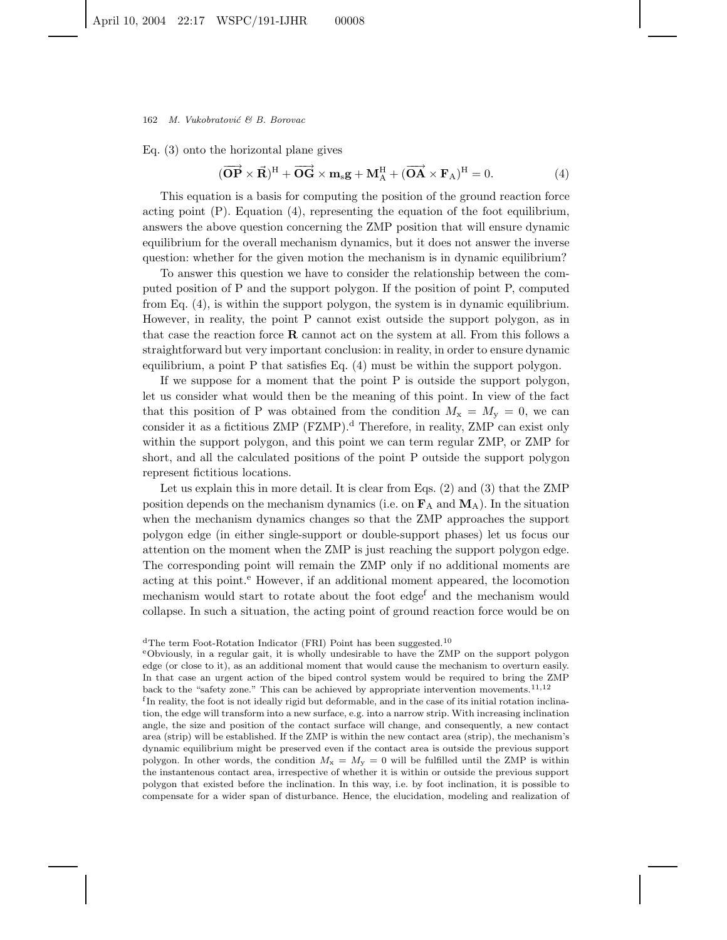Eq. (3) onto the horizontal plane gives

$$
(\overrightarrow{\mathbf{OP}} \times \overrightarrow{\mathbf{R}})^{H} + \overrightarrow{\mathbf{OG}} \times \mathbf{m}_{s}\mathbf{g} + \mathbf{M}_{A}^{H} + (\overrightarrow{\mathbf{OA}} \times \mathbf{F}_{A})^{H} = 0.
$$
 (4)

This equation is a basis for computing the position of the ground reaction force acting point  $(P)$ . Equation  $(4)$ , representing the equation of the foot equilibrium, answers the above question concerning the ZMP position that will ensure dynamic equilibrium for the overall mechanism dynamics, but it does not answer the inverse question: whether for the given motion the mechanism is in dynamic equilibrium?

To answer this question we have to consider the relationship between the computed position of P and the support polygon. If the position of point P, computed from Eq. (4), is within the support polygon, the system is in dynamic equilibrium. However, in reality, the point P cannot exist outside the support polygon, as in that case the reaction force **R** cannot act on the system at all. From this follows a straightforward but very important conclusion: in reality, in order to ensure dynamic equilibrium, a point P that satisfies Eq. (4) must be within the support polygon.

If we suppose for a moment that the point  $P$  is outside the support polygon, let us consider what would then be the meaning of this point. In view of the fact that this position of P was obtained from the condition  $M_x = M_y = 0$ , we can consider it as a fictitious  $ZMP$  (FZMP).<sup>d</sup> Therefore, in reality,  $ZMP$  can exist only within the support polygon, and this point we can term regular ZMP, or ZMP for short, and all the calculated positions of the point P outside the support polygon represent fictitious locations.

Let us explain this in more detail. It is clear from Eqs. (2) and (3) that the ZMP position depends on the mechanism dynamics (i.e. on  $\mathbf{F}_A$  and  $\mathbf{M}_A$ ). In the situation when the mechanism dynamics changes so that the ZMP approaches the support polygon edge (in either single-support or double-support phases) let us focus our attention on the moment when the ZMP is just reaching the support polygon edge. The corresponding point will remain the ZMP only if no additional moments are acting at this point.<sup>e</sup> However, if an additional moment appeared, the locomotion mechanism would start to rotate about the foot edge<sup>f</sup> and the mechanism would collapse. In such a situation, the acting point of ground reaction force would be on

 $<sup>f</sup>$ In reality, the foot is not ideally rigid but deformable, and in the case of its initial rotation inclina-</sup> tion, the edge will transform into a new surface, e.g. into a narrow strip. With increasing inclination angle, the size and position of the contact surface will change, and consequently, a new contact area (strip) will be established. If the ZMP is within the new contact area (strip), the mechanism's dynamic equilibrium might be preserved even if the contact area is outside the previous support polygon. In other words, the condition  $M_x = M_y = 0$  will be fulfilled until the ZMP is within the instantenous contact area, irrespective of whether it is within or outside the previous support polygon that existed before the inclination. In this way, i.e. by foot inclination, it is possible to compensate for a wider span of disturbance. Hence, the elucidation, modeling and realization of

<sup>&</sup>lt;sup>d</sup>The term Foot-Rotation Indicator (FRI) Point has been suggested.<sup>10</sup>

<sup>e</sup>Obviously, in a regular gait, it is wholly undesirable to have the ZMP on the support polygon edge (or close to it), as an additional moment that would cause the mechanism to overturn easily. In that case an urgent action of the biped control system would be required to bring the ZMP back to the "safety zone." This can be achieved by appropriate intervention movements.11*,*<sup>12</sup>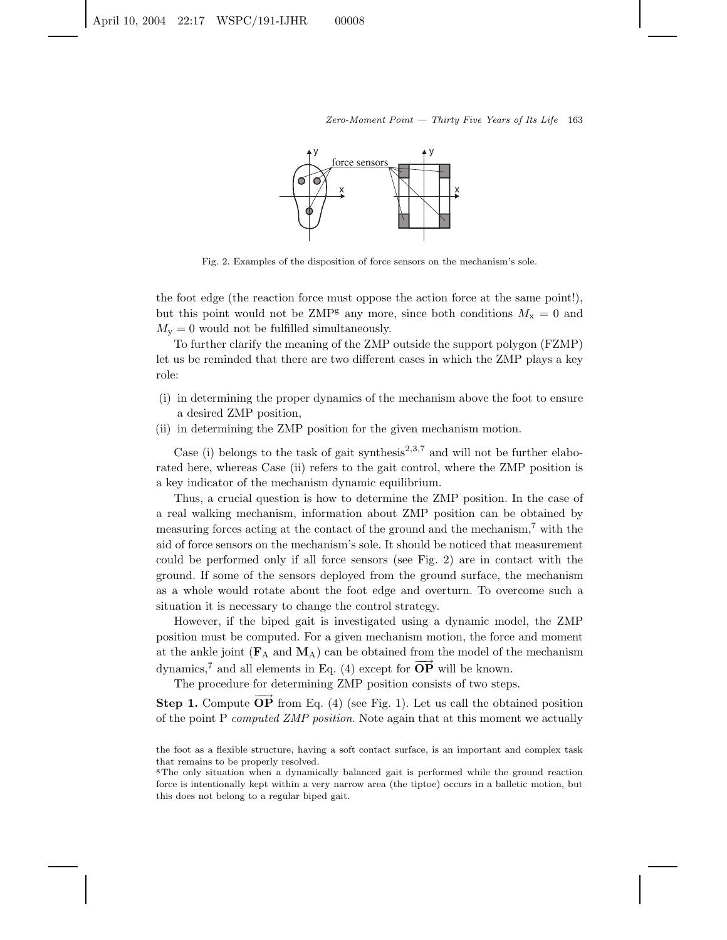

Fig. 2. Examples of the disposition of force sensors on the mechanism's sole.

the foot edge (the reaction force must oppose the action force at the same point!), but this point would not be ZMP<sup>g</sup> any more, since both conditions  $M_x = 0$  and  $M_{\rm v} = 0$  would not be fulfilled simultaneously.

To further clarify the meaning of the ZMP outside the support polygon (FZMP) let us be reminded that there are two different cases in which the ZMP plays a key role:

- (i) in determining the proper dynamics of the mechanism above the foot to ensure a desired ZMP position,
- (ii) in determining the ZMP position for the given mechanism motion.

Case (i) belongs to the task of gait synthesis<sup>2,3,7</sup> and will not be further elaborated here, whereas Case (ii) refers to the gait control, where the ZMP position is a key indicator of the mechanism dynamic equilibrium.

Thus, a crucial question is how to determine the ZMP position. In the case of a real walking mechanism, information about ZMP position can be obtained by measuring forces acting at the contact of the ground and the mechanism,<sup>7</sup> with the aid of force sensors on the mechanism's sole. It should be noticed that measurement could be performed only if all force sensors (see Fig. 2) are in contact with the ground. If some of the sensors deployed from the ground surface, the mechanism as a whole would rotate about the foot edge and overturn. To overcome such a situation it is necessary to change the control strategy.

However, if the biped gait is investigated using a dynamic model, the ZMP position must be computed. For a given mechanism motion, the force and moment at the ankle joint  $(\mathbf{F}_A \text{ and } \mathbf{M}_A)$  can be obtained from the model of the mechanism dynamics,<sup>7</sup> and all elements in Eq. (4) except for  $OP$  will be known.

The procedure for determining ZMP position consists of two steps.

**Step 1.** Compute  $\overrightarrow{OP}$  from Eq. (4) (see Fig. 1). Let us call the obtained position of the point P *computed ZMP position*. Note again that at this moment we actually

the foot as a flexible structure, having a soft contact surface, is an important and complex task that remains to be properly resolved.

<sup>&</sup>lt;sup>g</sup>The only situation when a dynamically balanced gait is performed while the ground reaction force is intentionally kept within a very narrow area (the tiptoe) occurs in a balletic motion, but this does not belong to a regular biped gait.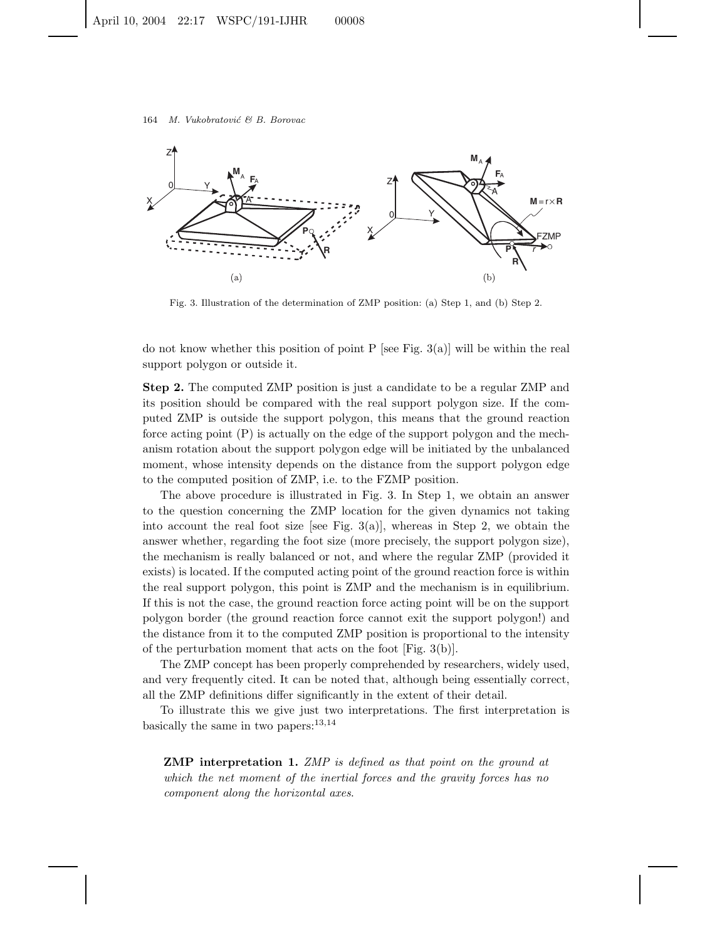

Fig. 3. Illustration of the determination of ZMP position: (a) Step 1, and (b) Step 2.

do not know whether this position of point  $P$  [see Fig. 3(a)] will be within the real support polygon or outside it.

**Step 2.** The computed ZMP position is just a candidate to be a regular ZMP and its position should be compared with the real support polygon size. If the computed ZMP is outside the support polygon, this means that the ground reaction force acting point (P) is actually on the edge of the support polygon and the mechanism rotation about the support polygon edge will be initiated by the unbalanced moment, whose intensity depends on the distance from the support polygon edge to the computed position of ZMP, i.e. to the FZMP position.

The above procedure is illustrated in Fig. 3. In Step 1, we obtain an answer to the question concerning the ZMP location for the given dynamics not taking into account the real foot size [see Fig. 3(a)], whereas in Step 2, we obtain the answer whether, regarding the foot size (more precisely, the support polygon size), the mechanism is really balanced or not, and where the regular ZMP (provided it exists) is located. If the computed acting point of the ground reaction force is within the real support polygon, this point is ZMP and the mechanism is in equilibrium. If this is not the case, the ground reaction force acting point will be on the support polygon border (the ground reaction force cannot exit the support polygon!) and the distance from it to the computed ZMP position is proportional to the intensity of the perturbation moment that acts on the foot [Fig. 3(b)].

The ZMP concept has been properly comprehended by researchers, widely used, and very frequently cited. It can be noted that, although being essentially correct, all the ZMP definitions differ significantly in the extent of their detail.

To illustrate this we give just two interpretations. The first interpretation is basically the same in two papers:<sup>13</sup>*,*<sup>14</sup>

**ZMP interpretation 1.** *ZMP is defined as that point on the ground at which the net moment of the inertial forces and the gravity forces has no component along the horizontal axes*.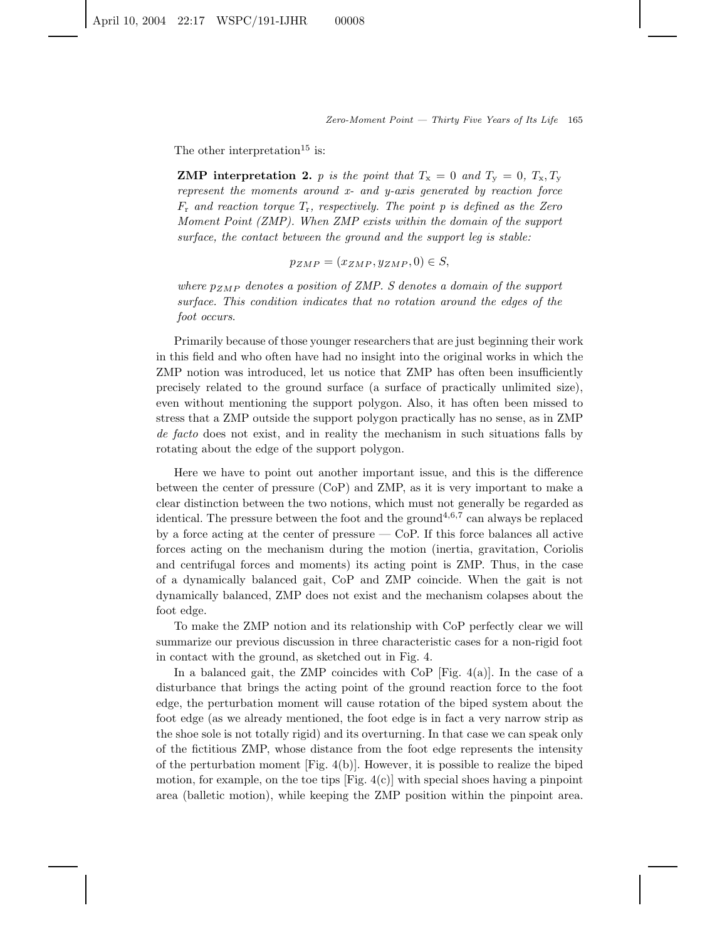The other interpretation<sup>15</sup> is:

**ZMP** interpretation 2. *p is the point that*  $T_x = 0$  *and*  $T_y = 0$ ,  $T_x, T_y$ *represent the moments around x- and y-axis generated by reaction force* F<sup>r</sup> *and reaction torque* Tr*, respectively. The point p is defined as the Zero Moment Point (ZMP). When ZMP exists within the domain of the support surface, the contact between the ground and the support leg is stable:*

$$
p_{ZMP} = (x_{ZMP}, y_{ZMP}, 0) \in S,
$$

*where* p*ZMP denotes a position of ZMP. S denotes a domain of the support surface. This condition indicates that no rotation around the edges of the foot occurs*.

Primarily because of those younger researchers that are just beginning their work in this field and who often have had no insight into the original works in which the ZMP notion was introduced, let us notice that ZMP has often been insufficiently precisely related to the ground surface (a surface of practically unlimited size), even without mentioning the support polygon. Also, it has often been missed to stress that a ZMP outside the support polygon practically has no sense, as in ZMP *de facto* does not exist, and in reality the mechanism in such situations falls by rotating about the edge of the support polygon.

Here we have to point out another important issue, and this is the difference between the center of pressure (CoP) and ZMP, as it is very important to make a clear distinction between the two notions, which must not generally be regarded as identical. The pressure between the foot and the ground<sup>4,6,7</sup> can always be replaced by a force acting at the center of pressure — CoP. If this force balances all active forces acting on the mechanism during the motion (inertia, gravitation, Coriolis and centrifugal forces and moments) its acting point is ZMP. Thus, in the case of a dynamically balanced gait, CoP and ZMP coincide. When the gait is not dynamically balanced, ZMP does not exist and the mechanism colapses about the foot edge.

To make the ZMP notion and its relationship with CoP perfectly clear we will summarize our previous discussion in three characteristic cases for a non-rigid foot in contact with the ground, as sketched out in Fig. 4.

In a balanced gait, the ZMP coincides with CoP  $[Fig. 4(a)]$ . In the case of a disturbance that brings the acting point of the ground reaction force to the foot edge, the perturbation moment will cause rotation of the biped system about the foot edge (as we already mentioned, the foot edge is in fact a very narrow strip as the shoe sole is not totally rigid) and its overturning. In that case we can speak only of the fictitious ZMP, whose distance from the foot edge represents the intensity of the perturbation moment [Fig. 4(b)]. However, it is possible to realize the biped motion, for example, on the toe tips  $[Fig. 4(c)]$  with special shoes having a pinpoint area (balletic motion), while keeping the ZMP position within the pinpoint area.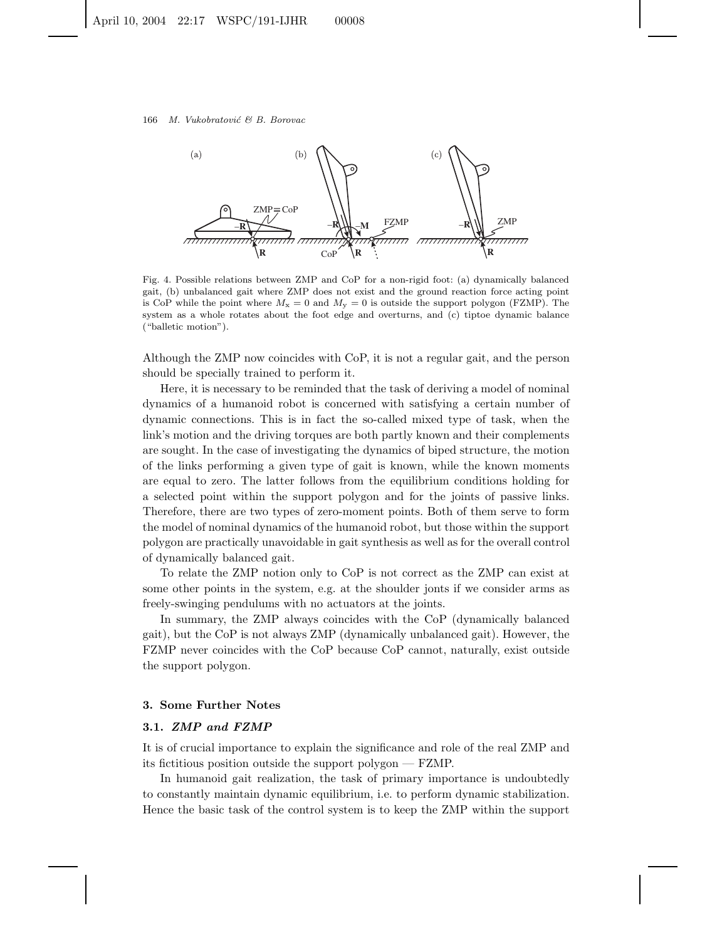

Fig. 4. Possible relations between ZMP and CoP for a non-rigid foot: (a) dynamically balanced gait, (b) unbalanced gait where ZMP does not exist and the ground reaction force acting point is CoP while the point where  $M_x = 0$  and  $M_y = 0$  is outside the support polygon (FZMP). The system as a whole rotates about the foot edge and overturns, and (c) tiptoe dynamic balance ("balletic motion").

Although the ZMP now coincides with CoP, it is not a regular gait, and the person should be specially trained to perform it.

Here, it is necessary to be reminded that the task of deriving a model of nominal dynamics of a humanoid robot is concerned with satisfying a certain number of dynamic connections. This is in fact the so-called mixed type of task, when the link's motion and the driving torques are both partly known and their complements are sought. In the case of investigating the dynamics of biped structure, the motion of the links performing a given type of gait is known, while the known moments are equal to zero. The latter follows from the equilibrium conditions holding for a selected point within the support polygon and for the joints of passive links. Therefore, there are two types of zero-moment points. Both of them serve to form the model of nominal dynamics of the humanoid robot, but those within the support polygon are practically unavoidable in gait synthesis as well as for the overall control of dynamically balanced gait.

To relate the ZMP notion only to CoP is not correct as the ZMP can exist at some other points in the system, e.g. at the shoulder jonts if we consider arms as freely-swinging pendulums with no actuators at the joints.

In summary, the ZMP always coincides with the CoP (dynamically balanced gait), but the CoP is not always ZMP (dynamically unbalanced gait). However, the FZMP never coincides with the CoP because CoP cannot, naturally, exist outside the support polygon.

### **3. Some Further Notes**

## **3.1.** *ZMP and FZMP*

It is of crucial importance to explain the significance and role of the real ZMP and its fictitious position outside the support polygon — FZMP.

In humanoid gait realization, the task of primary importance is undoubtedly to constantly maintain dynamic equilibrium, i.e. to perform dynamic stabilization. Hence the basic task of the control system is to keep the ZMP within the support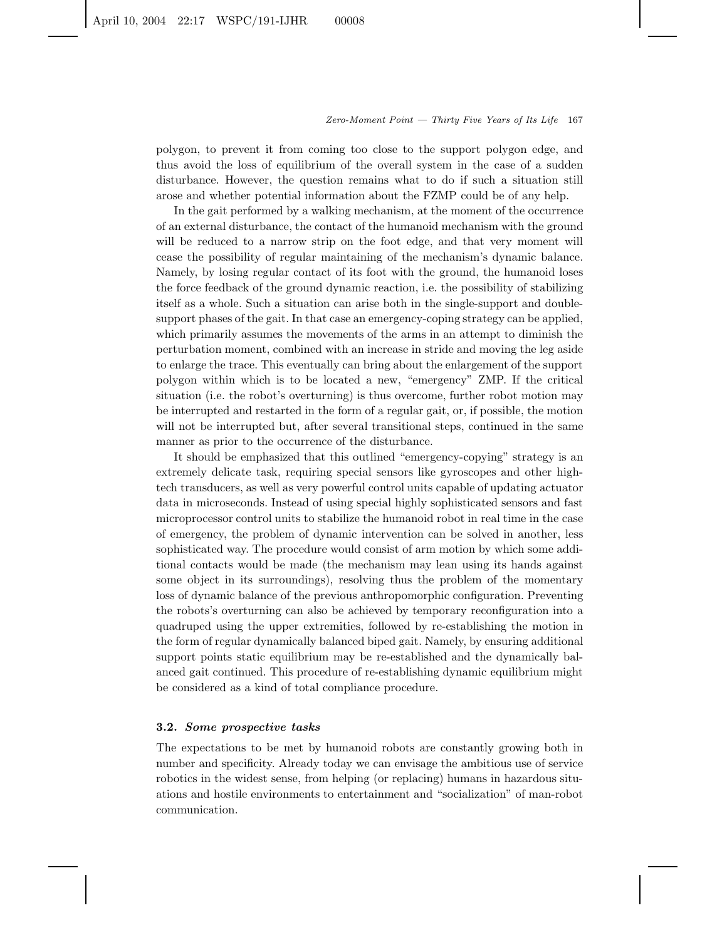polygon, to prevent it from coming too close to the support polygon edge, and thus avoid the loss of equilibrium of the overall system in the case of a sudden disturbance. However, the question remains what to do if such a situation still arose and whether potential information about the FZMP could be of any help.

In the gait performed by a walking mechanism, at the moment of the occurrence of an external disturbance, the contact of the humanoid mechanism with the ground will be reduced to a narrow strip on the foot edge, and that very moment will cease the possibility of regular maintaining of the mechanism's dynamic balance. Namely, by losing regular contact of its foot with the ground, the humanoid loses the force feedback of the ground dynamic reaction, i.e. the possibility of stabilizing itself as a whole. Such a situation can arise both in the single-support and doublesupport phases of the gait. In that case an emergency-coping strategy can be applied, which primarily assumes the movements of the arms in an attempt to diminish the perturbation moment, combined with an increase in stride and moving the leg aside to enlarge the trace. This eventually can bring about the enlargement of the support polygon within which is to be located a new, "emergency" ZMP. If the critical situation (i.e. the robot's overturning) is thus overcome, further robot motion may be interrupted and restarted in the form of a regular gait, or, if possible, the motion will not be interrupted but, after several transitional steps, continued in the same manner as prior to the occurrence of the disturbance.

It should be emphasized that this outlined "emergency-copying" strategy is an extremely delicate task, requiring special sensors like gyroscopes and other hightech transducers, as well as very powerful control units capable of updating actuator data in microseconds. Instead of using special highly sophisticated sensors and fast microprocessor control units to stabilize the humanoid robot in real time in the case of emergency, the problem of dynamic intervention can be solved in another, less sophisticated way. The procedure would consist of arm motion by which some additional contacts would be made (the mechanism may lean using its hands against some object in its surroundings), resolving thus the problem of the momentary loss of dynamic balance of the previous anthropomorphic configuration. Preventing the robots's overturning can also be achieved by temporary reconfiguration into a quadruped using the upper extremities, followed by re-establishing the motion in the form of regular dynamically balanced biped gait. Namely, by ensuring additional support points static equilibrium may be re-established and the dynamically balanced gait continued. This procedure of re-establishing dynamic equilibrium might be considered as a kind of total compliance procedure.

#### **3.2.** *Some prospective tasks*

The expectations to be met by humanoid robots are constantly growing both in number and specificity. Already today we can envisage the ambitious use of service robotics in the widest sense, from helping (or replacing) humans in hazardous situations and hostile environments to entertainment and "socialization" of man-robot communication.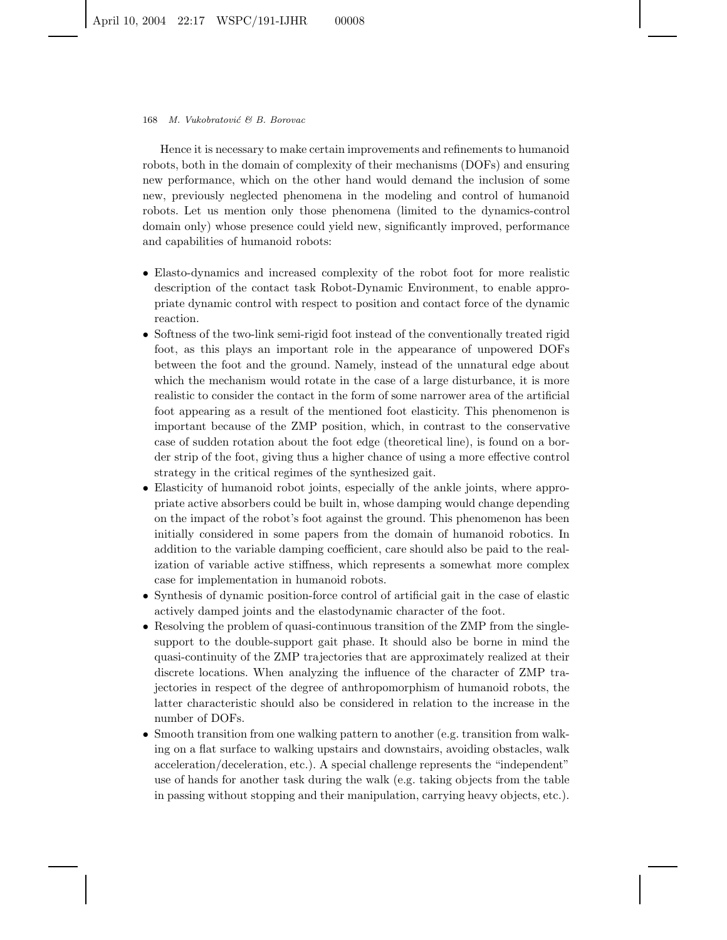#### 168 *M. Vukobratovi´c & B. Borovac*

Hence it is necessary to make certain improvements and refinements to humanoid robots, both in the domain of complexity of their mechanisms (DOFs) and ensuring new performance, which on the other hand would demand the inclusion of some new, previously neglected phenomena in the modeling and control of humanoid robots. Let us mention only those phenomena (limited to the dynamics-control domain only) whose presence could yield new, significantly improved, performance and capabilities of humanoid robots:

- Elasto-dynamics and increased complexity of the robot foot for more realistic description of the contact task Robot-Dynamic Environment, to enable appropriate dynamic control with respect to position and contact force of the dynamic reaction.
- Softness of the two-link semi-rigid foot instead of the conventionally treated rigid foot, as this plays an important role in the appearance of unpowered DOFs between the foot and the ground. Namely, instead of the unnatural edge about which the mechanism would rotate in the case of a large disturbance, it is more realistic to consider the contact in the form of some narrower area of the artificial foot appearing as a result of the mentioned foot elasticity. This phenomenon is important because of the ZMP position, which, in contrast to the conservative case of sudden rotation about the foot edge (theoretical line), is found on a border strip of the foot, giving thus a higher chance of using a more effective control strategy in the critical regimes of the synthesized gait.
- Elasticity of humanoid robot joints, especially of the ankle joints, where appropriate active absorbers could be built in, whose damping would change depending on the impact of the robot's foot against the ground. This phenomenon has been initially considered in some papers from the domain of humanoid robotics. In addition to the variable damping coefficient, care should also be paid to the realization of variable active stiffness, which represents a somewhat more complex case for implementation in humanoid robots.
- Synthesis of dynamic position-force control of artificial gait in the case of elastic actively damped joints and the elastodynamic character of the foot.
- Resolving the problem of quasi-continuous transition of the ZMP from the singlesupport to the double-support gait phase. It should also be borne in mind the quasi-continuity of the ZMP trajectories that are approximately realized at their discrete locations. When analyzing the influence of the character of ZMP trajectories in respect of the degree of anthropomorphism of humanoid robots, the latter characteristic should also be considered in relation to the increase in the number of DOFs.
- Smooth transition from one walking pattern to another (e.g. transition from walking on a flat surface to walking upstairs and downstairs, avoiding obstacles, walk acceleration/deceleration, etc.). A special challenge represents the "independent" use of hands for another task during the walk (e.g. taking objects from the table in passing without stopping and their manipulation, carrying heavy objects, etc.).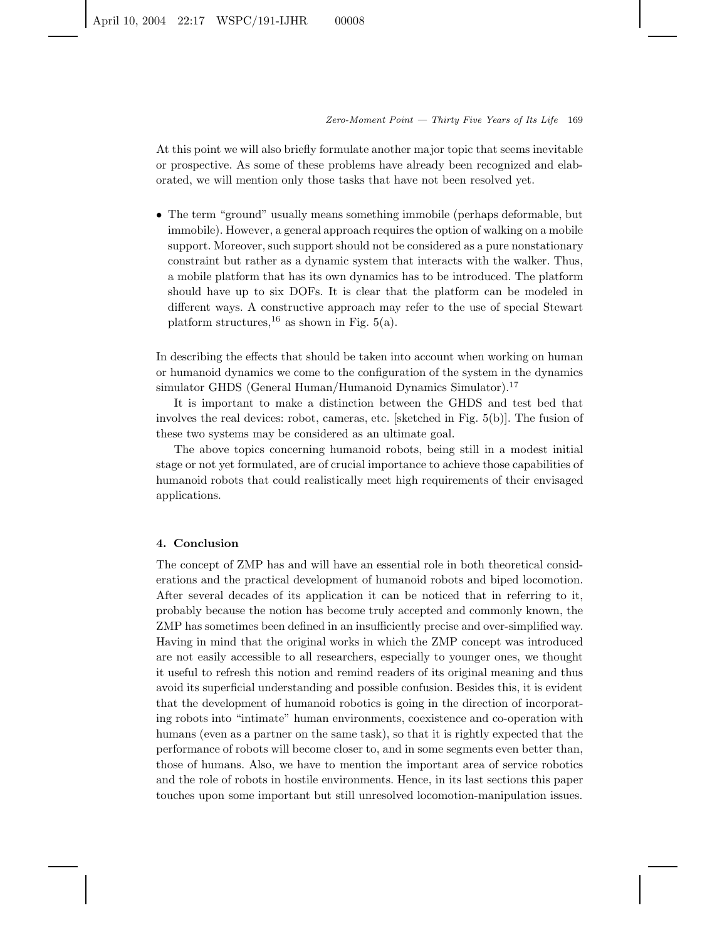At this point we will also briefly formulate another major topic that seems inevitable or prospective. As some of these problems have already been recognized and elaborated, we will mention only those tasks that have not been resolved yet.

• The term "ground" usually means something immobile (perhaps deformable, but immobile). However, a general approach requires the option of walking on a mobile support. Moreover, such support should not be considered as a pure nonstationary constraint but rather as a dynamic system that interacts with the walker. Thus, a mobile platform that has its own dynamics has to be introduced. The platform should have up to six DOFs. It is clear that the platform can be modeled in different ways. A constructive approach may refer to the use of special Stewart platform structures,  $^{16}$  as shown in Fig. 5(a).

In describing the effects that should be taken into account when working on human or humanoid dynamics we come to the configuration of the system in the dynamics simulator GHDS (General Human/Humanoid Dynamics Simulator).<sup>17</sup>

It is important to make a distinction between the GHDS and test bed that involves the real devices: robot, cameras, etc. [sketched in Fig. 5(b)]. The fusion of these two systems may be considered as an ultimate goal.

The above topics concerning humanoid robots, being still in a modest initial stage or not yet formulated, are of crucial importance to achieve those capabilities of humanoid robots that could realistically meet high requirements of their envisaged applications.

## **4. Conclusion**

The concept of ZMP has and will have an essential role in both theoretical considerations and the practical development of humanoid robots and biped locomotion. After several decades of its application it can be noticed that in referring to it, probably because the notion has become truly accepted and commonly known, the ZMP has sometimes been defined in an insufficiently precise and over-simplified way. Having in mind that the original works in which the ZMP concept was introduced are not easily accessible to all researchers, especially to younger ones, we thought it useful to refresh this notion and remind readers of its original meaning and thus avoid its superficial understanding and possible confusion. Besides this, it is evident that the development of humanoid robotics is going in the direction of incorporating robots into "intimate" human environments, coexistence and co-operation with humans (even as a partner on the same task), so that it is rightly expected that the performance of robots will become closer to, and in some segments even better than, those of humans. Also, we have to mention the important area of service robotics and the role of robots in hostile environments. Hence, in its last sections this paper touches upon some important but still unresolved locomotion-manipulation issues.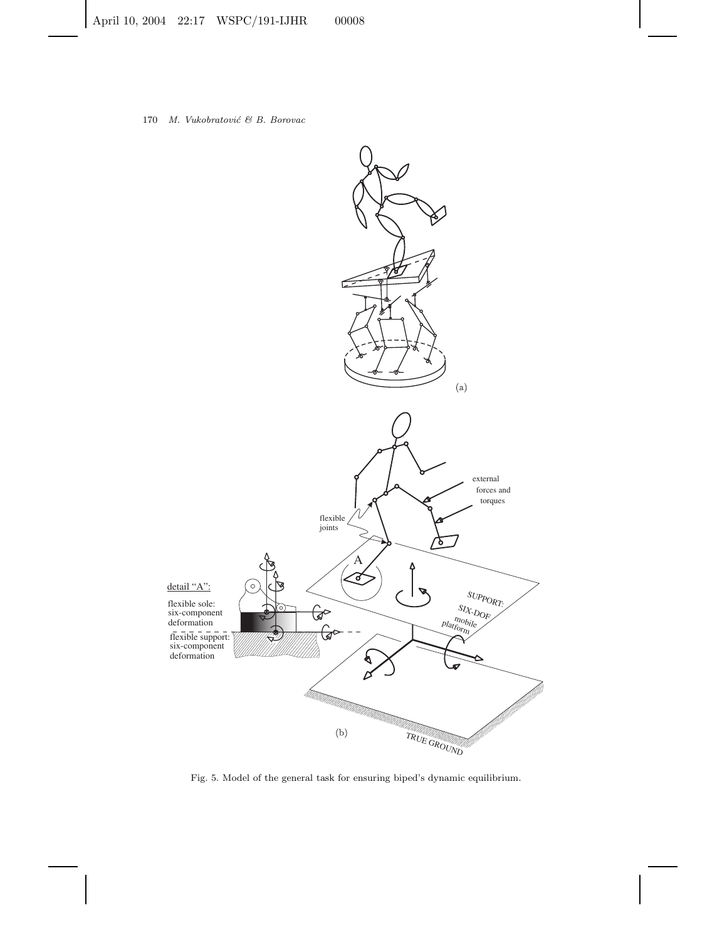

Fig. 5. Model of the general task for ensuring biped's dynamic equilibrium.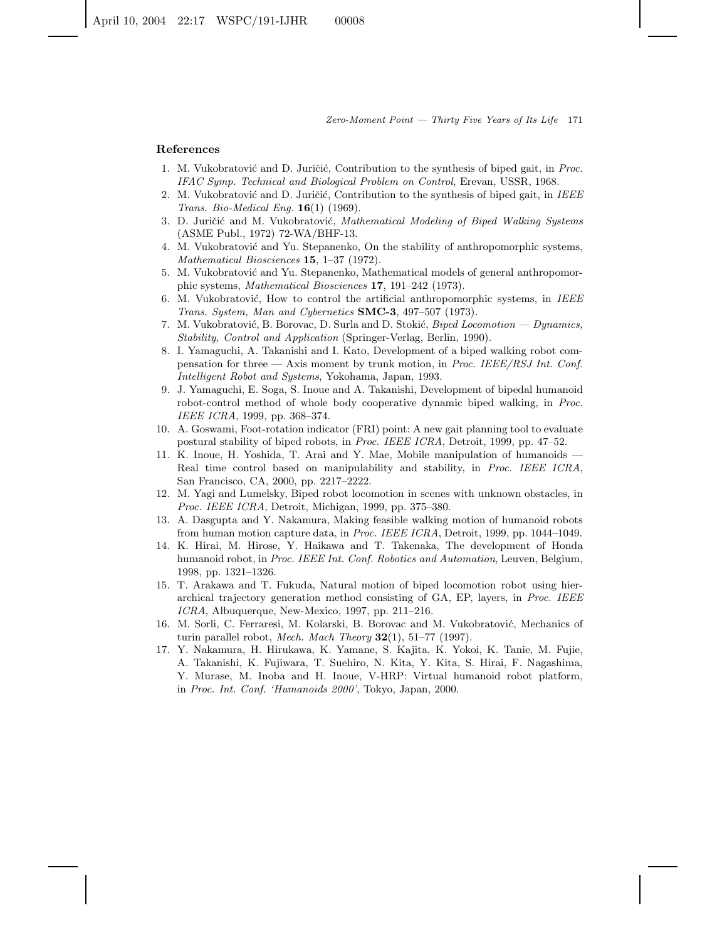### **References**

- 1. M. Vukobratović and D. Juričić, Contribution to the synthesis of biped gait, in *Proc. IFAC Symp. Technical and Biological Problem on Control*, Erevan, USSR, 1968.
- 2. M. Vukobratović and D. Juričić, Contribution to the synthesis of biped gait, in *IEEE Trans. Bio-Medical Eng.* **16**(1) (1969).
- 3. D. Juričić and M. Vukobratović, *Mathematical Modeling of Biped Walking Systems* (ASME Publ., 1972) 72-WA/BHF-13.
- 4. M. Vukobratović and Yu. Stepanenko, On the stability of anthropomorphic systems, *Mathematical Biosciences* **15**, 1–37 (1972).
- 5. M. Vukobratović and Yu. Stepanenko, Mathematical models of general anthropomorphic systems, *Mathematical Biosciences* **17**, 191–242 (1973).
- 6. M. Vukobratovi´c, How to control the artificial anthropomorphic systems, in *IEEE Trans. System, Man and Cybernetics* **SMC-3**, 497–507 (1973).
- 7. M. Vukobratovi´c, B. Borovac, D. Surla and D. Stoki´c, *Biped Locomotion Dynamics, Stability, Control and Application* (Springer-Verlag, Berlin, 1990).
- 8. I. Yamaguchi, A. Takanishi and I. Kato, Development of a biped walking robot compensation for three — Axis moment by trunk motion, in *Proc. IEEE/RSJ Int. Conf. Intelligent Robot and Systems*, Yokohama, Japan, 1993.
- 9. J. Yamaguchi, E. Soga, S. Inoue and A. Takanishi, Development of bipedal humanoid robot-control method of whole body cooperative dynamic biped walking, in *Proc. IEEE ICRA*, 1999, pp. 368–374.
- 10. A. Goswami, Foot-rotation indicator (FRI) point: A new gait planning tool to evaluate postural stability of biped robots, in *Proc. IEEE ICRA*, Detroit, 1999, pp. 47–52.
- 11. K. Inoue, H. Yoshida, T. Arai and Y. Mae, Mobile manipulation of humanoids Real time control based on manipulability and stability, in *Proc. IEEE ICRA*, San Francisco, CA, 2000, pp. 2217–2222.
- 12. M. Yagi and Lumelsky, Biped robot locomotion in scenes with unknown obstacles, in *Proc. IEEE ICRA*, Detroit, Michigan, 1999, pp. 375–380.
- 13. A. Dasgupta and Y. Nakamura, Making feasible walking motion of humanoid robots from human motion capture data, in *Proc. IEEE ICRA*, Detroit, 1999, pp. 1044–1049.
- 14. K. Hirai, M. Hirose, Y. Haikawa and T. Takenaka, The development of Honda humanoid robot, in *Proc. IEEE Int. Conf. Robotics and Automation*, Leuven, Belgium, 1998, pp. 1321–1326.
- 15. T. Arakawa and T. Fukuda, Natural motion of biped locomotion robot using hierarchical trajectory generation method consisting of GA, EP, layers, in *Proc. IEEE ICRA*, Albuquerque, New-Mexico, 1997, pp. 211–216.
- 16. M. Sorli, C. Ferraresi, M. Kolarski, B. Borovac and M. Vukobratović, Mechanics of turin parallel robot, *Mech. Mach Theory* **32**(1), 51–77 (1997).
- 17. Y. Nakamura, H. Hirukawa, K. Yamane, S. Kajita, K. Yokoi, K. Tanie, M. Fujie, A. Takanishi, K. Fujiwara, T. Suehiro, N. Kita, Y. Kita, S. Hirai, F. Nagashima, Y. Murase, M. Inoba and H. Inoue, V-HRP: Virtual humanoid robot platform, in *Proc. Int. Conf. 'Humanoids 2000'*, Tokyo, Japan, 2000.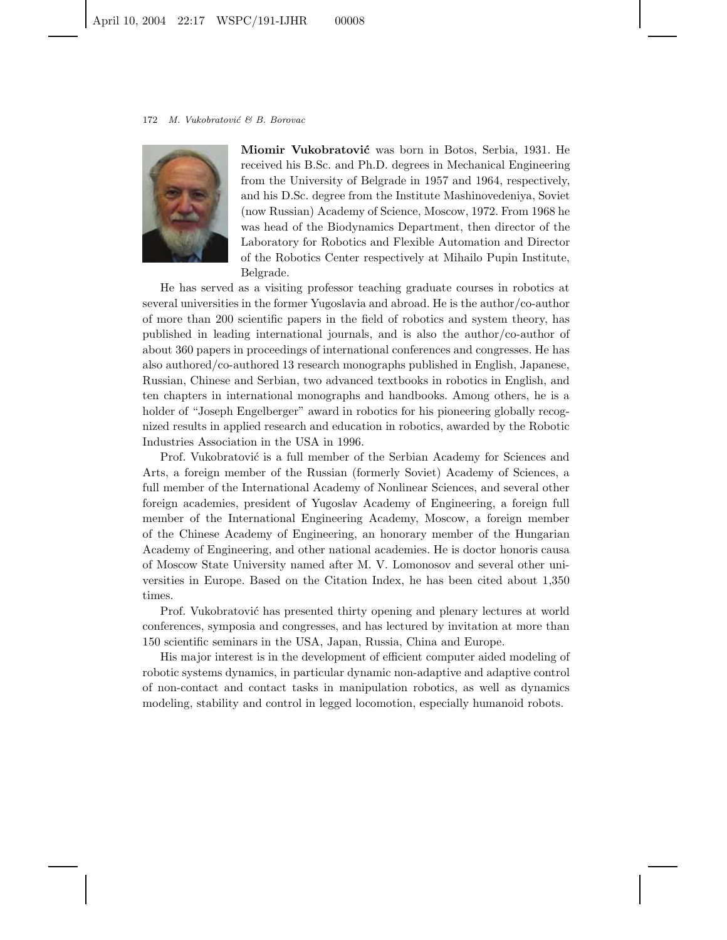

Miomir Vukobratović was born in Botos, Serbia, 1931. He received his B.Sc. and Ph.D. degrees in Mechanical Engineering from the University of Belgrade in 1957 and 1964, respectively, and his D.Sc. degree from the Institute Mashinovedeniya, Soviet (now Russian) Academy of Science, Moscow, 1972. From 1968 he was head of the Biodynamics Department, then director of the Laboratory for Robotics and Flexible Automation and Director of the Robotics Center respectively at Mihailo Pupin Institute, Belgrade.

He has served as a visiting professor teaching graduate courses in robotics at several universities in the former Yugoslavia and abroad. He is the author/co-author of more than 200 scientific papers in the field of robotics and system theory, has published in leading international journals, and is also the author/co-author of about 360 papers in proceedings of international conferences and congresses. He has also authored/co-authored 13 research monographs published in English, Japanese, Russian, Chinese and Serbian, two advanced textbooks in robotics in English, and ten chapters in international monographs and handbooks. Among others, he is a holder of "Joseph Engelberger" award in robotics for his pioneering globally recognized results in applied research and education in robotics, awarded by the Robotic Industries Association in the USA in 1996.

Prof. Vukobratović is a full member of the Serbian Academy for Sciences and Arts, a foreign member of the Russian (formerly Soviet) Academy of Sciences, a full member of the International Academy of Nonlinear Sciences, and several other foreign academies, president of Yugoslav Academy of Engineering, a foreign full member of the International Engineering Academy, Moscow, a foreign member of the Chinese Academy of Engineering, an honorary member of the Hungarian Academy of Engineering, and other national academies. He is doctor honoris causa of Moscow State University named after M. V. Lomonosov and several other universities in Europe. Based on the Citation Index, he has been cited about 1,350 times.

Prof. Vukobratović has presented thirty opening and plenary lectures at world conferences, symposia and congresses, and has lectured by invitation at more than 150 scientific seminars in the USA, Japan, Russia, China and Europe.

His major interest is in the development of efficient computer aided modeling of robotic systems dynamics, in particular dynamic non-adaptive and adaptive control of non-contact and contact tasks in manipulation robotics, as well as dynamics modeling, stability and control in legged locomotion, especially humanoid robots.